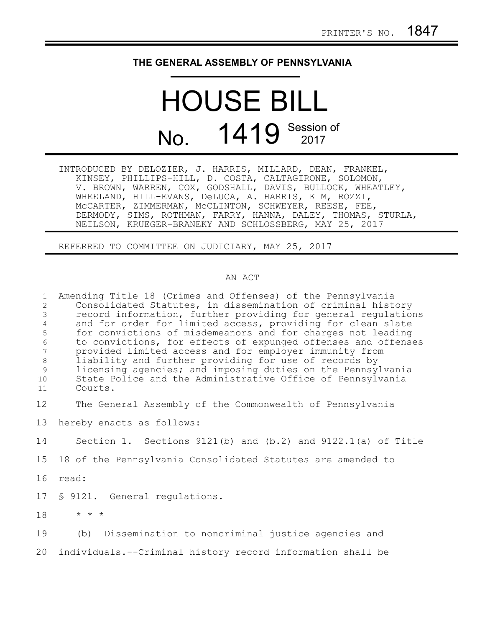## **THE GENERAL ASSEMBLY OF PENNSYLVANIA**

## HOUSE BILL No. 1419 Session of

| INTRODUCED BY DELOZIER, J. HARRIS, MILLARD, DEAN, FRANKEL,   |
|--------------------------------------------------------------|
| KINSEY, PHILLIPS-HILL, D. COSTA, CALTAGIRONE, SOLOMON,       |
| V. BROWN, WARREN, COX, GODSHALL, DAVIS, BULLOCK, WHEATLEY,   |
| WHEELAND, HILL-EVANS, DeLUCA, A. HARRIS, KIM, ROZZI,         |
| MCCARTER, ZIMMERMAN, MCCLINTON, SCHWEYER, REESE, FEE,        |
| DERMODY, SIMS, ROTHMAN, FARRY, HANNA, DALEY, THOMAS, STURLA, |
| NEILSON, KRUEGER-BRANEKY AND SCHLOSSBERG, MAY 25, 2017       |

REFERRED TO COMMITTEE ON JUDICIARY, MAY 25, 2017

## AN ACT

| $\mathbf{1}$<br>$\overline{c}$<br>$\mathfrak{Z}$<br>$\overline{4}$<br>5<br>6<br>7<br>$\,8\,$<br>9<br>10<br>11 | Amending Title 18 (Crimes and Offenses) of the Pennsylvania<br>Consolidated Statutes, in dissemination of criminal history<br>record information, further providing for general regulations<br>and for order for limited access, providing for clean slate<br>for convictions of misdemeanors and for charges not leading<br>to convictions, for effects of expunged offenses and offenses<br>provided limited access and for employer immunity from<br>liability and further providing for use of records by<br>licensing agencies; and imposing duties on the Pennsylvania<br>State Police and the Administrative Office of Pennsylvania<br>Courts. |
|---------------------------------------------------------------------------------------------------------------|-------------------------------------------------------------------------------------------------------------------------------------------------------------------------------------------------------------------------------------------------------------------------------------------------------------------------------------------------------------------------------------------------------------------------------------------------------------------------------------------------------------------------------------------------------------------------------------------------------------------------------------------------------|
| 12                                                                                                            | The General Assembly of the Commonwealth of Pennsylvania                                                                                                                                                                                                                                                                                                                                                                                                                                                                                                                                                                                              |
| 13                                                                                                            | hereby enacts as follows:                                                                                                                                                                                                                                                                                                                                                                                                                                                                                                                                                                                                                             |
| 14                                                                                                            | Section 1. Sections $9121(b)$ and $(b.2)$ and $9122.1(a)$ of Title                                                                                                                                                                                                                                                                                                                                                                                                                                                                                                                                                                                    |
| 15                                                                                                            | 18 of the Pennsylvania Consolidated Statutes are amended to                                                                                                                                                                                                                                                                                                                                                                                                                                                                                                                                                                                           |
| 16                                                                                                            | read:                                                                                                                                                                                                                                                                                                                                                                                                                                                                                                                                                                                                                                                 |
| 17                                                                                                            | § 9121. General regulations.                                                                                                                                                                                                                                                                                                                                                                                                                                                                                                                                                                                                                          |
| 18                                                                                                            | $\star$ $\star$ $\star$                                                                                                                                                                                                                                                                                                                                                                                                                                                                                                                                                                                                                               |
| 19                                                                                                            | (b) Dissemination to noncriminal justice agencies and                                                                                                                                                                                                                                                                                                                                                                                                                                                                                                                                                                                                 |
| 20                                                                                                            | individuals.--Criminal history record information shall be                                                                                                                                                                                                                                                                                                                                                                                                                                                                                                                                                                                            |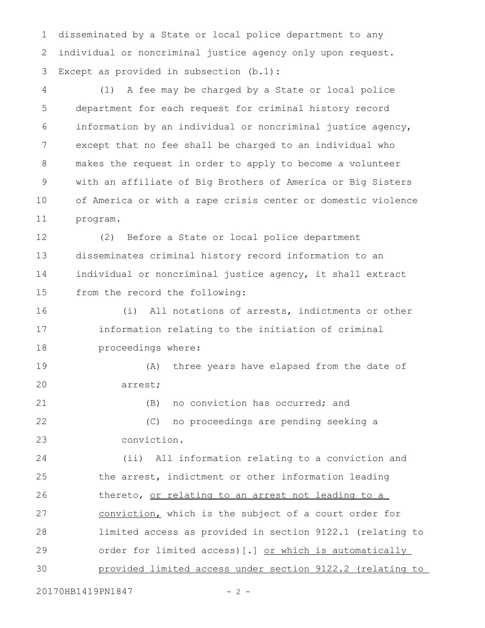disseminated by a State or local police department to any individual or noncriminal justice agency only upon request. Except as provided in subsection (b.1): 1 2 3

(1) A fee may be charged by a State or local police department for each request for criminal history record information by an individual or noncriminal justice agency, except that no fee shall be charged to an individual who makes the request in order to apply to become a volunteer with an affiliate of Big Brothers of America or Big Sisters of America or with a rape crisis center or domestic violence program. 4 5 6 7 8 9 10 11

(2) Before a State or local police department disseminates criminal history record information to an individual or noncriminal justice agency, it shall extract from the record the following: 12 13 14 15

(i) All notations of arrests, indictments or other information relating to the initiation of criminal proceedings where: 16 17 18

(A) three years have elapsed from the date of arrest; 19 20

(B) no conviction has occurred; and

(C) no proceedings are pending seeking a conviction. 22 23

(ii) All information relating to a conviction and the arrest, indictment or other information leading thereto, or relating to an arrest not leading to a conviction, which is the subject of a court order for limited access as provided in section 9122.1 (relating to order for limited access)[.] or which is automatically provided limited access under section 9122.2 (relating to 24 25 26 27 28 29 30

20170HB1419PN1847 - 2 -

21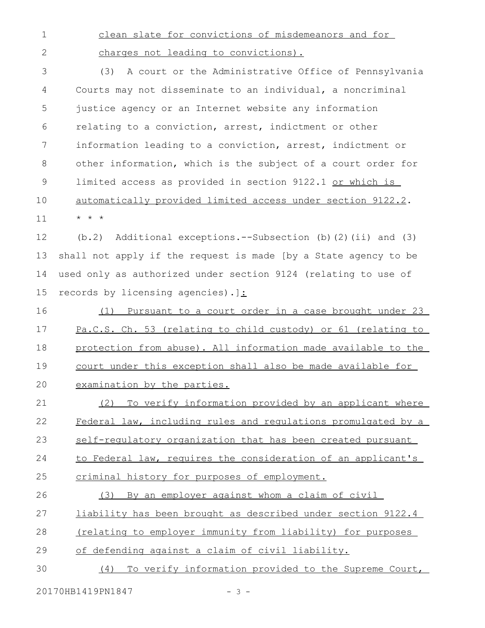clean slate for convictions of misdemeanors and for 1

2

charges not leading to convictions).

(3) A court or the Administrative Office of Pennsylvania Courts may not disseminate to an individual, a noncriminal justice agency or an Internet website any information relating to a conviction, arrest, indictment or other information leading to a conviction, arrest, indictment or other information, which is the subject of a court order for limited access as provided in section 9122.1 or which is automatically provided limited access under section 9122.2. \* \* \* 3 4 5 6 7 8 9 10 11

(b.2) Additional exceptions.--Subsection (b)(2)(ii) and (3) shall not apply if the request is made [by a State agency to be used only as authorized under section 9124 (relating to use of records by licensing agencies).]: 12 13 14 15

(1) Pursuant to a court order in a case brought under 23 Pa.C.S. Ch. 53 (relating to child custody) or 61 (relating to protection from abuse). All information made available to the court under this exception shall also be made available for examination by the parties. 16 17 18 19 20

(2) To verify information provided by an applicant where Federal law, including rules and regulations promulgated by a self-regulatory organization that has been created pursuant to Federal law, requires the consideration of an applicant's criminal history for purposes of employment. (3) By an employer against whom a claim of civil 21 22 23 24 25 26

liability has been brought as described under section 9122.4 27

(relating to employer immunity from liability) for purposes 28

of defending against a claim of civil liability. 29

(4) To verify information provided to the Supreme Court, 30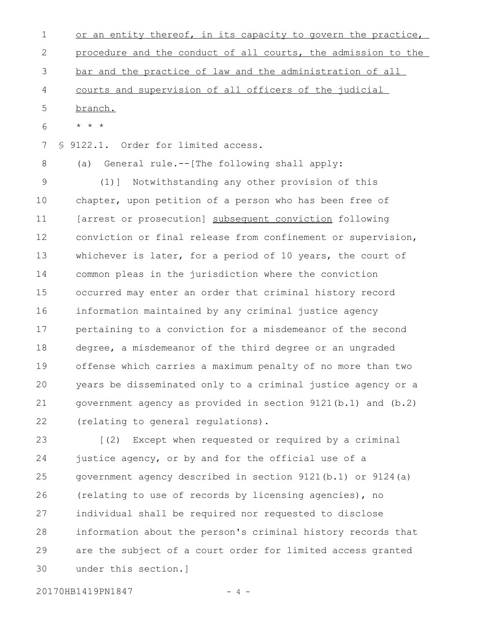or an entity thereof, in its capacity to govern the practice, procedure and the conduct of all courts, the admission to the bar and the practice of law and the administration of all courts and supervision of all officers of the judicial branch. \* \* \* § 9122.1. Order for limited access. (a) General rule.--[The following shall apply: (1)] Notwithstanding any other provision of this chapter, upon petition of a person who has been free of [arrest or prosecution] subsequent conviction following conviction or final release from confinement or supervision, whichever is later, for a period of 10 years, the court of common pleas in the jurisdiction where the conviction occurred may enter an order that criminal history record information maintained by any criminal justice agency pertaining to a conviction for a misdemeanor of the second degree, a misdemeanor of the third degree or an ungraded offense which carries a maximum penalty of no more than two years be disseminated only to a criminal justice agency or a 1 2 3 4 5 6 7 8 9 10 11 12 13 14 15 16 17 18 19 20

(relating to general regulations). 22

[(2) Except when requested or required by a criminal justice agency, or by and for the official use of a government agency described in section 9121(b.1) or 9124(a) (relating to use of records by licensing agencies), no individual shall be required nor requested to disclose information about the person's criminal history records that are the subject of a court order for limited access granted under this section.] 23 24 25 26 27 28 29 30

government agency as provided in section 9121(b.1) and (b.2)

20170HB1419PN1847 - 4 -

21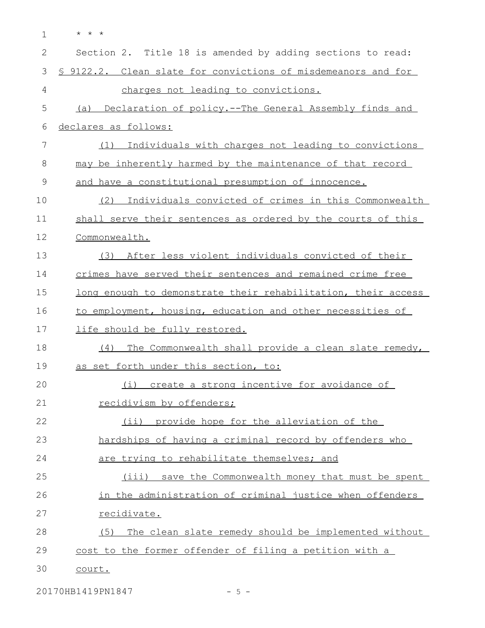\* \* \* 1

| $\mathbf{2}$ | Section 2. Title 18 is amended by adding sections to read:     |
|--------------|----------------------------------------------------------------|
| 3            | \$ 9122.2. Clean slate for convictions of misdemeanors and for |
| 4            | charges not leading to convictions.                            |
| 5            | (a) Declaration of policy.--The General Assembly finds and     |
| 6            | declares as follows:                                           |
| 7            | Individuals with charges not leading to convictions<br>(1)     |
| 8            | may be inherently harmed by the maintenance of that record     |
| 9            | and have a constitutional presumption of innocence.            |
| 10           | (2) Individuals convicted of crimes in this Commonwealth       |
| 11           | shall serve their sentences as ordered by the courts of this   |
| 12           | Commonwealth.                                                  |
| 13           | (3) After less violent individuals convicted of their          |
| 14           | crimes have served their sentences and remained crime free     |
| 15           | long enough to demonstrate their rehabilitation, their access  |
| 16           | to employment, housing, education and other necessities of     |
| 17           | life should be fully restored.                                 |
| 18           | The Commonwealth shall provide a clean slate remedy,<br>(4)    |
| 19           | as set forth under this section, to:                           |
| 20           | create a strong incentive for avoidance of<br>(i)              |
| 21           | recidivism by offenders;                                       |
| 22           | (ii) provide hope for the alleviation of the                   |
| 23           | hardships of having a criminal record by offenders who         |
| 24           | are trying to rehabilitate themselves; and                     |
| 25           | (iii) save the Commonwealth money that must be spent           |
| 26           | in the administration of criminal justice when offenders       |
| 27           | recidivate.                                                    |
| 28           | The clean slate remedy should be implemented without<br>(5)    |
| 29           | cost to the former offender of filing a petition with a        |
| 30           | court.                                                         |

20170HB1419PN1847 - 5 -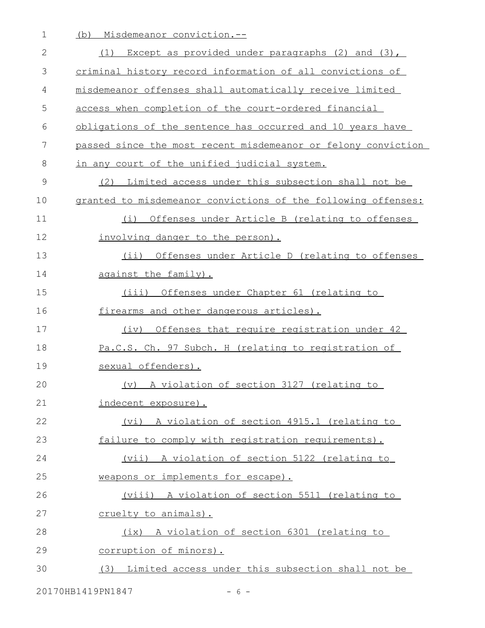1 (b) Misdemeanor conviction.--

| 2  | Except as provided under paragraphs $(2)$ and $(3)$ ,<br>(1)  |
|----|---------------------------------------------------------------|
| 3  | criminal history record information of all convictions of     |
| 4  | misdemeanor offenses shall automatically receive limited      |
| 5  | access when completion of the court-ordered financial         |
| 6  | obligations of the sentence has occurred and 10 years have    |
| 7  | passed since the most recent misdemeanor or felony conviction |
| 8  | in any court of the unified judicial system.                  |
| 9  | (2) Limited access under this subsection shall not be         |
| 10 | granted to misdemeanor convictions of the following offenses: |
| 11 | Offenses under Article B (relating to offenses<br>(i)         |
| 12 | involving danger to the person).                              |
| 13 | (ii) Offenses under Article D (relating to offenses           |
| 14 | against the family).                                          |
| 15 | Offenses under Chapter 61 (relating to<br>(iii)               |
| 16 | firearms and other dangerous articles).                       |
| 17 | Offenses that require registration under 42<br>(iv)           |
| 18 | Pa.C.S. Ch. 97 Subch. H (relating to registration of          |
| 19 | sexual offenders).                                            |
| 20 | A violation of section 3127 (relating to<br>(v)               |
| 21 | indecent exposure).                                           |
| 22 | (vi) A violation of section 4915.1 (relating to               |
| 23 | failure to comply with registration requirements).            |
| 24 | (vii) A violation of section 5122 (relating to                |
| 25 | weapons or implements for escape).                            |
| 26 | (viii) A violation of section 5511 (relating to               |
| 27 | cruelty to animals).                                          |
| 28 | (ix) A violation of section 6301 (relating to                 |
| 29 | corruption of minors).                                        |
| 30 | (3) Limited access under this subsection shall not be         |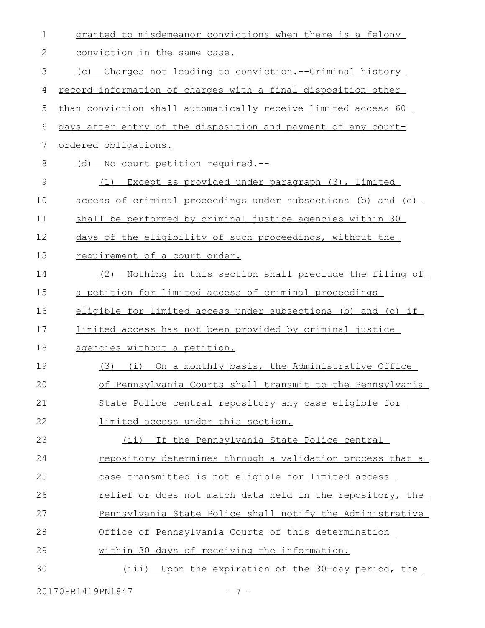| $\mathbf 1$   | granted to misdemeanor convictions when there is a felony     |
|---------------|---------------------------------------------------------------|
| 2             | conviction in the same case.                                  |
| 3             | (c) Charges not leading to conviction.--Criminal history      |
| 4             | record information of charges with a final disposition other  |
| 5             | than conviction shall automatically receive limited access 60 |
| 6             | days after entry of the disposition and payment of any court- |
| 7             | ordered obligations.                                          |
| $\,8\,$       | (d) No court petition required.--                             |
| $\mathcal{G}$ | (1) Except as provided under paragraph (3), limited           |
| 10            | access of criminal proceedings under subsections (b) and (c)  |
| 11            | shall be performed by criminal justice agencies within 30     |
| 12            | days of the eligibility of such proceedings, without the      |
| 13            | requirement of a court order.                                 |
| 14            | Nothing in this section shall preclude the filing of<br>(2)   |
| 15            | a petition for limited access of criminal proceedings         |
| 16            | eligible for limited access under subsections (b) and (c) if  |
| 17            | limited access has not been provided by criminal justice      |
| 18            | agencies without a petition.                                  |
| 19            | (3) (i) On a monthly basis, the Administrative Office         |
| 20            | of Pennsylvania Courts shall transmit to the Pennsylvania     |
| 21            | State Police central repository any case eligible for         |
| 22            | limited access under this section.                            |
| 23            | If the Pennsylvania State Police central<br>$(i$ i)           |
| 24            | repository determines through a validation process that a     |
| 25            | case transmitted is not eligible for limited access           |
| 26            | relief or does not match data held in the repository, the     |
| 27            | Pennsylvania State Police shall notify the Administrative     |
| 28            | Office of Pennsylvania Courts of this determination           |
| 29            | within 30 days of receiving the information.                  |
| 30            | (iii) Upon the expiration of the 30-day period, the           |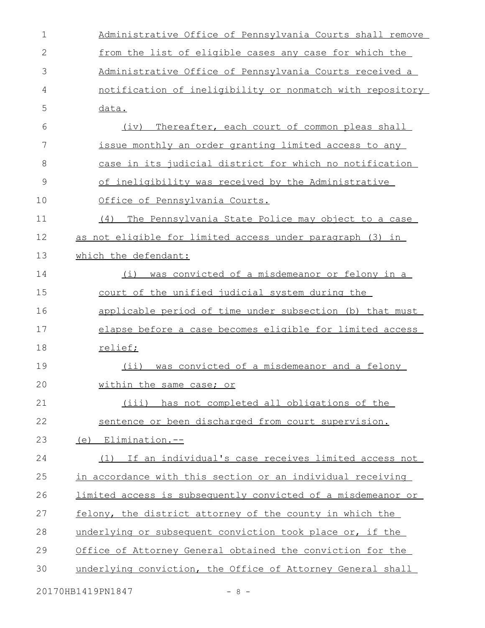| $\mathbf 1$  | Administrative Office of Pennsylvania Courts shall remove            |
|--------------|----------------------------------------------------------------------|
| $\mathbf{2}$ | from the list of eligible cases any case for which the               |
| 3            | Administrative Office of Pennsylvania Courts received a              |
| 4            | notification of ineligibility or nonmatch with repository            |
| 5            | data.                                                                |
| 6            | (iv)<br>Thereafter, each court of common pleas shall                 |
| 7            | issue monthly an order granting limited access to any                |
| 8            | case in its judicial district for which no notification              |
| 9            | of ineligibility was received by the Administrative                  |
| 10           | Office of Pennsylvania Courts.                                       |
| 11           | (4)<br>The Pennsylvania State Police may object to a case            |
| 12           | as not eligible for limited access under paragraph (3) in            |
| 13           | which the defendant:                                                 |
| 14           | was convicted of a misdemeanor or felony in a<br>(i)                 |
| 15           | court of the unified judicial system during the                      |
| 16           | applicable period of time under subsection (b) that must             |
| 17           | elapse before a case becomes eligible for limited access             |
| 18           | relief;                                                              |
| 19           | was convicted of a misdemeanor and a felony<br>(i)                   |
| 20           | within the same case; or                                             |
| 21           | (iii) has not completed all obligations of the                       |
| 22           | sentence or been discharged from court supervision.                  |
| 23           | $(e)$ Elimination.--                                                 |
| 24           | (1) If an individual's case receives limited access not              |
| 25           | in accordance with this section or an individual receiving           |
| 26           | <u>limited access is subsequently convicted of a misdemeanor or </u> |
| 27           | felony, the district attorney of the county in which the             |
| 28           | underlying or subsequent conviction took place or, if the            |
| 29           | Office of Attorney General obtained the conviction for the           |
| 30           | underlying conviction, the Office of Attorney General shall          |
|              |                                                                      |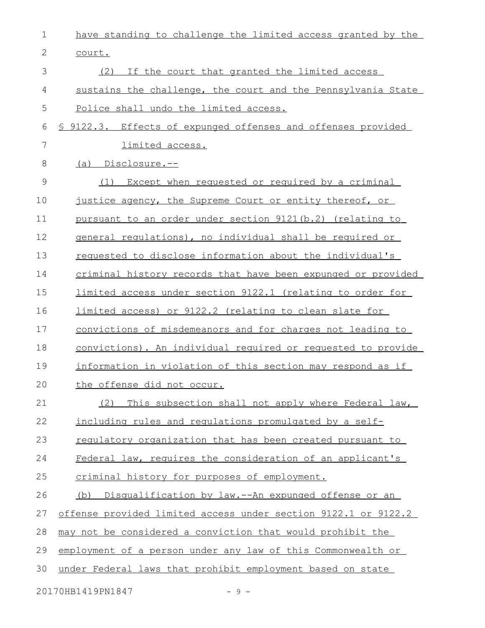| 1     | have standing to challenge the limited access granted by the   |
|-------|----------------------------------------------------------------|
| 2     | court.                                                         |
| 3     | (2)<br>If the court that granted the limited access            |
| 4     | sustains the challenge, the court and the Pennsylvania State   |
| 5     | Police shall undo the limited access.                          |
| 6     | \$ 9122.3. Effects of expunged offenses and offenses provided  |
| 7     | <u>limited access.</u>                                         |
| $8\,$ | (a) Disclosure.--                                              |
| 9     | Except when requested or required by a criminal<br>(1)         |
| 10    | justice agency, the Supreme Court or entity thereof, or        |
| 11    | pursuant to an order under section 9121(b.2) (relating to      |
| 12    | general regulations), no individual shall be required or       |
| 13    | requested to disclose information about the individual's       |
| 14    | criminal history records that have been expunged or provided   |
| 15    | limited access under section 9122.1 (relating to order for     |
| 16    | limited access) or 9122.2 (relating to clean slate for         |
| 17    | convictions of misdemeanors and for charges not leading to     |
| 18    | convictions). An individual required or requested to provide   |
| 19    | information in violation of this section may respond as if     |
| 20    | the offense did not occur.                                     |
| 21    | This subsection shall not apply where Federal law,<br>(2)      |
| 22    | including rules and regulations promulgated by a self-         |
| 23    | regulatory organization that has been created pursuant to      |
| 24    | Federal law, requires the consideration of an applicant's      |
| 25    | criminal history for purposes of employment.                   |
| 26    | (b) Disqualification by law.--An expunged offense or an        |
| 27    | offense provided limited access under section 9122.1 or 9122.2 |
| 28    | may not be considered a conviction that would prohibit the     |
| 29    | employment of a person under any law of this Commonwealth or   |
| 30    | under Federal laws that prohibit employment based on state     |
|       | 20170HB1419PN1847<br>$-9 -$                                    |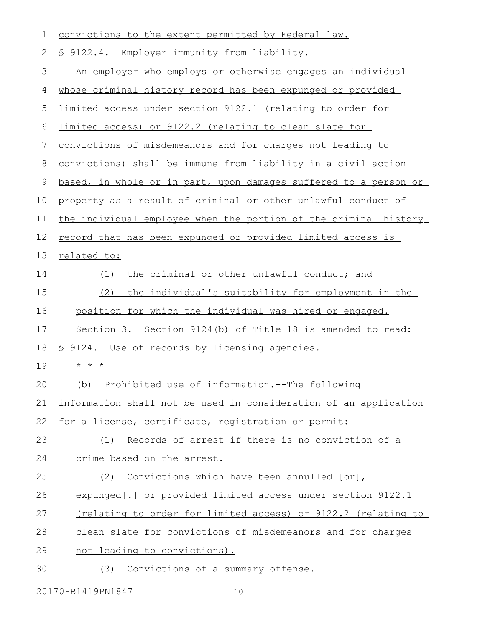| 1  | convictions to the extent permitted by Federal law.                  |
|----|----------------------------------------------------------------------|
| 2  | § 9122.4. Employer immunity from liability.                          |
| 3  | An employer who employs or otherwise engages an individual           |
| 4  | whose criminal history record has been expunged or provided          |
| 5  | <u>limited access under section 9122.1 (relating to order for</u>    |
| 6  | limited access) or 9122.2 (relating to clean slate for               |
| 7  | convictions of misdemeanors and for charges not leading to           |
| 8  | convictions) shall be immune from liability in a civil action        |
| 9  | based, in whole or in part, upon damages suffered to a person or     |
| 10 | property as a result of criminal or other unlawful conduct of        |
| 11 | the individual employee when the portion of the criminal history     |
| 12 | record that has been expunged or provided limited access is          |
| 13 | related to:                                                          |
| 14 | the criminal or other unlawful conduct; and<br>(1)                   |
| 15 | (2)<br>the individual's suitability for employment in the            |
| 16 | position for which the individual was hired or engaged.              |
| 17 | Section 3. Section 9124(b) of Title 18 is amended to read:           |
| 18 | § 9124. Use of records by licensing agencies.                        |
| 19 | $\star$ $\star$ $\star$                                              |
| 20 | (b) Prohibited use of information. -- The following                  |
| 21 | information shall not be used in consideration of an application     |
| 22 | for a license, certificate, registration or permit:                  |
| 23 |                                                                      |
|    | Records of arrest if there is no conviction of a<br>(1)              |
| 24 | crime based on the arrest.                                           |
| 25 | Convictions which have been annulled $[or]_{L}$<br>(2)               |
| 26 | expunged [.] or provided limited access under section 9122.1         |
| 27 | <u>(relating to order for limited access) or 9122.2 (relating to</u> |
| 28 | clean slate for convictions of misdemeanors and for charges          |
| 29 | not leading to convictions).                                         |

20170HB1419PN1847 - 10 -